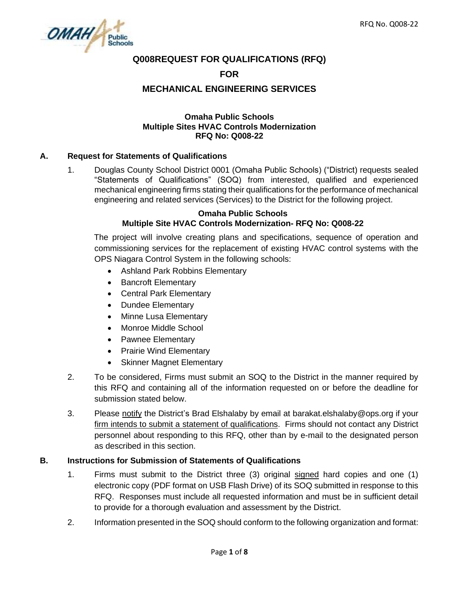

# **Q008REQUEST FOR QUALIFICATIONS (RFQ)**

#### **FOR**

# **MECHANICAL ENGINEERING SERVICES**

#### **Omaha Public Schools Multiple Sites HVAC Controls Modernization RFQ No: Q008-22**

#### **A. Request for Statements of Qualifications**

1. Douglas County School District 0001 (Omaha Public Schools) ("District) requests sealed "Statements of Qualifications" (SOQ) from interested, qualified and experienced mechanical engineering firms stating their qualifications for the performance of mechanical engineering and related services (Services) to the District for the following project.

#### **Omaha Public Schools Multiple Site HVAC Controls Modernization- RFQ No: Q008-22**

The project will involve creating plans and specifications, sequence of operation and commissioning services for the replacement of existing HVAC control systems with the OPS Niagara Control System in the following schools:

- Ashland Park Robbins Elementary
- Bancroft Elementary
- Central Park Elementary
- Dundee Elementary
- Minne Lusa Elementary
- Monroe Middle School
- Pawnee Elementary
- Prairie Wind Elementary
- **Skinner Magnet Elementary**
- 2. To be considered, Firms must submit an SOQ to the District in the manner required by this RFQ and containing all of the information requested on or before the deadline for submission stated below.
- 3. Please notify the District's Brad Elshalaby by email at barakat.elshalaby@ops.org if your firm intends to submit a statement of qualifications. Firms should not contact any District personnel about responding to this RFQ, other than by e-mail to the designated person as described in this section.

# **B. Instructions for Submission of Statements of Qualifications**

- 1. Firms must submit to the District three (3) original signed hard copies and one (1) electronic copy (PDF format on USB Flash Drive) of its SOQ submitted in response to this RFQ. Responses must include all requested information and must be in sufficient detail to provide for a thorough evaluation and assessment by the District.
- 2. Information presented in the SOQ should conform to the following organization and format: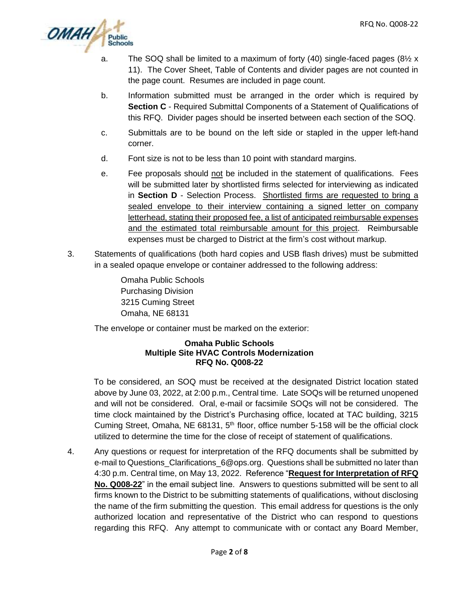

- a. The SOQ shall be limited to a maximum of forty (40) single-faced pages ( $8\frac{1}{2} \times$ 11). The Cover Sheet, Table of Contents and divider pages are not counted in the page count. Resumes are included in page count.
- b. Information submitted must be arranged in the order which is required by **Section C** - Required Submittal Components of a Statement of Qualifications of this RFQ. Divider pages should be inserted between each section of the SOQ.
- c. Submittals are to be bound on the left side or stapled in the upper left-hand corner.
- d. Font size is not to be less than 10 point with standard margins.
- e. Fee proposals should not be included in the statement of qualifications. Fees will be submitted later by shortlisted firms selected for interviewing as indicated in **Section D** - Selection Process. Shortlisted firms are requested to bring a sealed envelope to their interview containing a signed letter on company letterhead, stating their proposed fee, a list of anticipated reimbursable expenses and the estimated total reimbursable amount for this project. Reimbursable expenses must be charged to District at the firm's cost without markup.
- 3. Statements of qualifications (both hard copies and USB flash drives) must be submitted in a sealed opaque envelope or container addressed to the following address:

Omaha Public Schools Purchasing Division 3215 Cuming Street Omaha, NE 68131

The envelope or container must be marked on the exterior:

#### **Omaha Public Schools Multiple Site HVAC Controls Modernization RFQ No. Q008-22**

To be considered, an SOQ must be received at the designated District location stated above by June 03, 2022, at 2:00 p.m., Central time. Late SOQs will be returned unopened and will not be considered. Oral, e-mail or facsimile SOQs will not be considered. The time clock maintained by the District's Purchasing office, located at TAC building, 3215 Cuming Street, Omaha, NE 68131, 5<sup>th</sup> floor, office number 5-158 will be the official clock utilized to determine the time for the close of receipt of statement of qualifications.

4. Any questions or request for interpretation of the RFQ documents shall be submitted by e-mail to Questions\_Clarifications\_[6@ops.org.](mailto:____________________@ops.org) Questions shall be submitted no later than 4:30 p.m. Central time, on May 13, 2022. Reference "**Request for Interpretation of RFQ No. Q008-22**" in the email subject line. Answers to questions submitted will be sent to all firms known to the District to be submitting statements of qualifications, without disclosing the name of the firm submitting the question. This email address for questions is the only authorized location and representative of the District who can respond to questions regarding this RFQ. Any attempt to communicate with or contact any Board Member,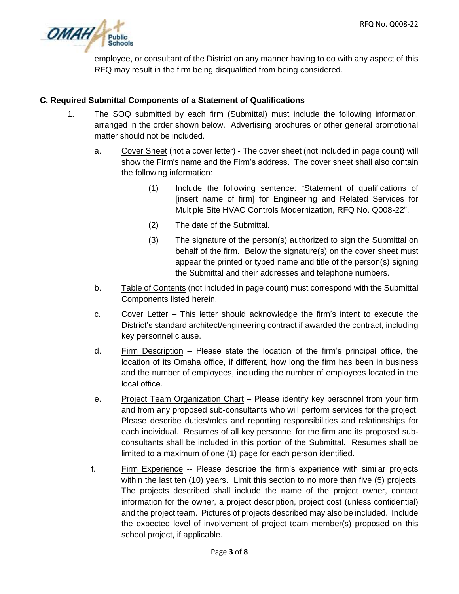

employee, or consultant of the District on any manner having to do with any aspect of this RFQ may result in the firm being disqualified from being considered.

#### **C. Required Submittal Components of a Statement of Qualifications**

- 1. The SOQ submitted by each firm (Submittal) must include the following information, arranged in the order shown below. Advertising brochures or other general promotional matter should not be included.
	- a. Cover Sheet (not a cover letter) The cover sheet (not included in page count) will show the Firm's name and the Firm's address. The cover sheet shall also contain the following information:
		- (1) Include the following sentence: "Statement of qualifications of [insert name of firm] for Engineering and Related Services for Multiple Site HVAC Controls Modernization, RFQ No. Q008-22".
		- (2) The date of the Submittal.
		- (3) The signature of the person(s) authorized to sign the Submittal on behalf of the firm. Below the signature(s) on the cover sheet must appear the printed or typed name and title of the person(s) signing the Submittal and their addresses and telephone numbers.
	- b. Table of Contents (not included in page count) must correspond with the Submittal Components listed herein.
	- c. Cover Letter This letter should acknowledge the firm's intent to execute the District's standard architect/engineering contract if awarded the contract, including key personnel clause.
	- d. Firm Description Please state the location of the firm's principal office, the location of its Omaha office, if different, how long the firm has been in business and the number of employees, including the number of employees located in the local office.
	- e. Project Team Organization Chart Please identify key personnel from your firm and from any proposed sub-consultants who will perform services for the project. Please describe duties/roles and reporting responsibilities and relationships for each individual. Resumes of all key personnel for the firm and its proposed subconsultants shall be included in this portion of the Submittal. Resumes shall be limited to a maximum of one (1) page for each person identified.
	- f. Firm Experience -- Please describe the firm's experience with similar projects within the last ten (10) years. Limit this section to no more than five (5) projects. The projects described shall include the name of the project owner, contact information for the owner, a project description, project cost (unless confidential) and the project team. Pictures of projects described may also be included. Include the expected level of involvement of project team member(s) proposed on this school project, if applicable.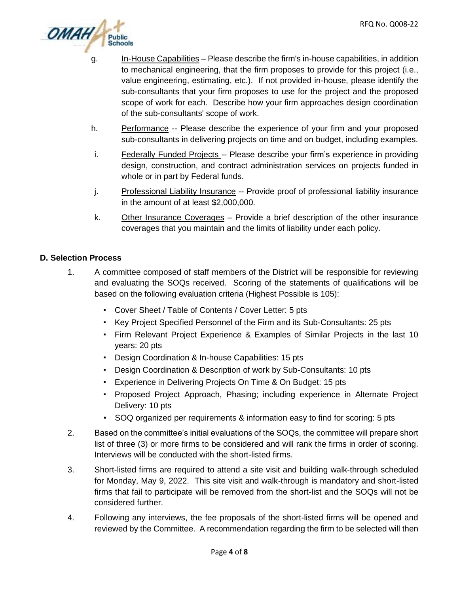

- g. In-House Capabilities Please describe the firm's in-house capabilities, in addition to mechanical engineering, that the firm proposes to provide for this project (i.e., value engineering, estimating, etc.). If not provided in-house, please identify the sub-consultants that your firm proposes to use for the project and the proposed scope of work for each. Describe how your firm approaches design coordination of the sub-consultants' scope of work.
- h. Performance -- Please describe the experience of your firm and your proposed sub-consultants in delivering projects on time and on budget, including examples.
- i. Federally Funded Projects -- Please describe your firm's experience in providing design, construction, and contract administration services on projects funded in whole or in part by Federal funds.
- j. Professional Liability Insurance -- Provide proof of professional liability insurance in the amount of at least \$2,000,000.
- k. Other Insurance Coverages Provide a brief description of the other insurance coverages that you maintain and the limits of liability under each policy.

# **D. Selection Process**

- 1. A committee composed of staff members of the District will be responsible for reviewing and evaluating the SOQs received. Scoring of the statements of qualifications will be based on the following evaluation criteria (Highest Possible is 105):
	- Cover Sheet / Table of Contents / Cover Letter: 5 pts
	- Key Project Specified Personnel of the Firm and its Sub-Consultants: 25 pts
	- Firm Relevant Project Experience & Examples of Similar Projects in the last 10 years: 20 pts
	- Design Coordination & In-house Capabilities: 15 pts
	- Design Coordination & Description of work by Sub-Consultants: 10 pts
	- Experience in Delivering Projects On Time & On Budget: 15 pts
	- Proposed Project Approach, Phasing; including experience in Alternate Project Delivery: 10 pts
	- SOQ organized per requirements & information easy to find for scoring: 5 pts
- 2. Based on the committee's initial evaluations of the SOQs, the committee will prepare short list of three (3) or more firms to be considered and will rank the firms in order of scoring. Interviews will be conducted with the short-listed firms.
- 3. Short-listed firms are required to attend a site visit and building walk-through scheduled for Monday, May 9, 2022. This site visit and walk-through is mandatory and short-listed firms that fail to participate will be removed from the short-list and the SOQs will not be considered further.
- 4. Following any interviews, the fee proposals of the short-listed firms will be opened and reviewed by the Committee. A recommendation regarding the firm to be selected will then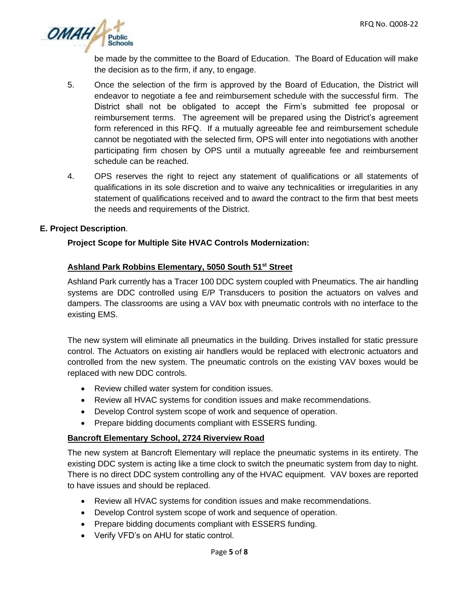

be made by the committee to the Board of Education. The Board of Education will make the decision as to the firm, if any, to engage.

- 5. Once the selection of the firm is approved by the Board of Education, the District will endeavor to negotiate a fee and reimbursement schedule with the successful firm. The District shall not be obligated to accept the Firm's submitted fee proposal or reimbursement terms. The agreement will be prepared using the District's agreement form referenced in this RFQ. If a mutually agreeable fee and reimbursement schedule cannot be negotiated with the selected firm, OPS will enter into negotiations with another participating firm chosen by OPS until a mutually agreeable fee and reimbursement schedule can be reached.
- 4. OPS reserves the right to reject any statement of qualifications or all statements of qualifications in its sole discretion and to waive any technicalities or irregularities in any statement of qualifications received and to award the contract to the firm that best meets the needs and requirements of the District.

# **E. Project Description**.

# **Project Scope for Multiple Site HVAC Controls Modernization:**

#### **Ashland Park Robbins Elementary, 5050 South 51st Street**

Ashland Park currently has a Tracer 100 DDC system coupled with Pneumatics. The air handling systems are DDC controlled using E/P Transducers to position the actuators on valves and dampers. The classrooms are using a VAV box with pneumatic controls with no interface to the existing EMS.

The new system will eliminate all pneumatics in the building. Drives installed for static pressure control. The Actuators on existing air handlers would be replaced with electronic actuators and controlled from the new system. The pneumatic controls on the existing VAV boxes would be replaced with new DDC controls.

- Review chilled water system for condition issues.
- Review all HVAC systems for condition issues and make recommendations.
- Develop Control system scope of work and sequence of operation.
- Prepare bidding documents compliant with ESSERS funding.

#### **Bancroft Elementary School, 2724 Riverview Road**

The new system at Bancroft Elementary will replace the pneumatic systems in its entirety. The existing DDC system is acting like a time clock to switch the pneumatic system from day to night. There is no direct DDC system controlling any of the HVAC equipment. VAV boxes are reported to have issues and should be replaced.

- Review all HVAC systems for condition issues and make recommendations.
- Develop Control system scope of work and sequence of operation.
- Prepare bidding documents compliant with ESSERS funding.
- Verify VFD's on AHU for static control.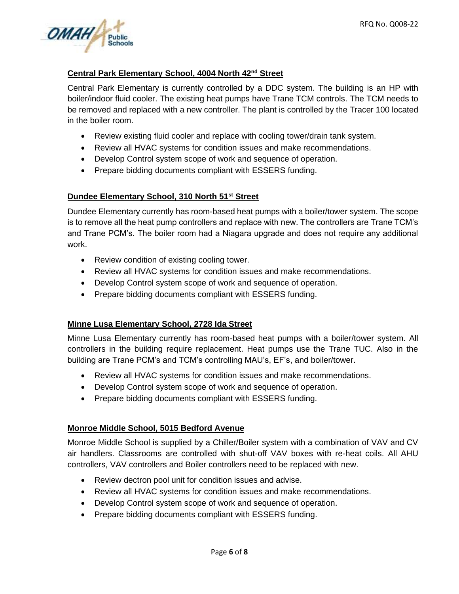

# **Central Park Elementary School, 4004 North 42nd Street**

Central Park Elementary is currently controlled by a DDC system. The building is an HP with boiler/indoor fluid cooler. The existing heat pumps have Trane TCM controls. The TCM needs to be removed and replaced with a new controller. The plant is controlled by the Tracer 100 located in the boiler room.

- Review existing fluid cooler and replace with cooling tower/drain tank system.
- Review all HVAC systems for condition issues and make recommendations.
- Develop Control system scope of work and sequence of operation.
- Prepare bidding documents compliant with ESSERS funding.

#### **Dundee Elementary School, 310 North 51st Street**

Dundee Elementary currently has room-based heat pumps with a boiler/tower system. The scope is to remove all the heat pump controllers and replace with new. The controllers are Trane TCM's and Trane PCM's. The boiler room had a Niagara upgrade and does not require any additional work.

- Review condition of existing cooling tower.
- Review all HVAC systems for condition issues and make recommendations.
- Develop Control system scope of work and sequence of operation.
- Prepare bidding documents compliant with ESSERS funding.

# **Minne Lusa Elementary School, 2728 Ida Street**

Minne Lusa Elementary currently has room-based heat pumps with a boiler/tower system. All controllers in the building require replacement. Heat pumps use the Trane TUC. Also in the building are Trane PCM's and TCM's controlling MAU's, EF's, and boiler/tower.

- Review all HVAC systems for condition issues and make recommendations.
- Develop Control system scope of work and sequence of operation.
- Prepare bidding documents compliant with ESSERS funding.

#### **Monroe Middle School, 5015 Bedford Avenue**

Monroe Middle School is supplied by a Chiller/Boiler system with a combination of VAV and CV air handlers. Classrooms are controlled with shut-off VAV boxes with re-heat coils. All AHU controllers, VAV controllers and Boiler controllers need to be replaced with new.

- Review dectron pool unit for condition issues and advise.
- Review all HVAC systems for condition issues and make recommendations.
- Develop Control system scope of work and sequence of operation.
- Prepare bidding documents compliant with ESSERS funding.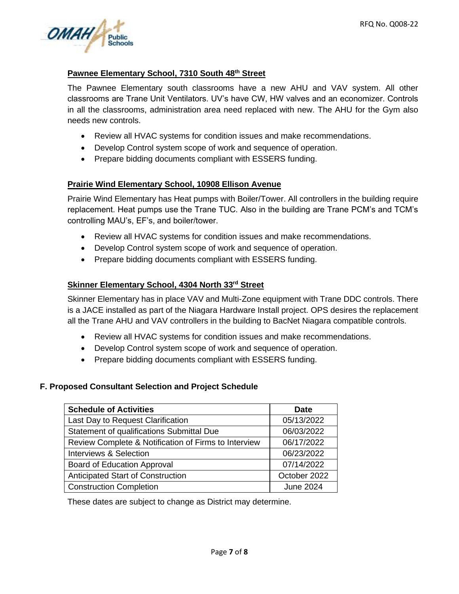

# **Pawnee Elementary School, 7310 South 48th Street**

The Pawnee Elementary south classrooms have a new AHU and VAV system. All other classrooms are Trane Unit Ventilators. UV's have CW, HW valves and an economizer. Controls in all the classrooms, administration area need replaced with new. The AHU for the Gym also needs new controls.

- Review all HVAC systems for condition issues and make recommendations.
- Develop Control system scope of work and sequence of operation.
- Prepare bidding documents compliant with ESSERS funding.

#### **Prairie Wind Elementary School, 10908 Ellison Avenue**

Prairie Wind Elementary has Heat pumps with Boiler/Tower. All controllers in the building require replacement. Heat pumps use the Trane TUC. Also in the building are Trane PCM's and TCM's controlling MAU's, EF's, and boiler/tower.

- Review all HVAC systems for condition issues and make recommendations.
- Develop Control system scope of work and sequence of operation.
- Prepare bidding documents compliant with ESSERS funding.

#### **Skinner Elementary School, 4304 North 33rd Street**

Skinner Elementary has in place VAV and Multi-Zone equipment with Trane DDC controls. There is a JACE installed as part of the Niagara Hardware Install project. OPS desires the replacement all the Trane AHU and VAV controllers in the building to BacNet Niagara compatible controls.

- Review all HVAC systems for condition issues and make recommendations.
- Develop Control system scope of work and sequence of operation.
- Prepare bidding documents compliant with ESSERS funding.

#### **F. Proposed Consultant Selection and Project Schedule**

| <b>Schedule of Activities</b>                        | Date             |
|------------------------------------------------------|------------------|
| Last Day to Request Clarification                    | 05/13/2022       |
| Statement of qualifications Submittal Due            | 06/03/2022       |
| Review Complete & Notification of Firms to Interview | 06/17/2022       |
| Interviews & Selection                               | 06/23/2022       |
| Board of Education Approval                          | 07/14/2022       |
| Anticipated Start of Construction                    | October 2022     |
| <b>Construction Completion</b>                       | <b>June 2024</b> |

These dates are subject to change as District may determine.